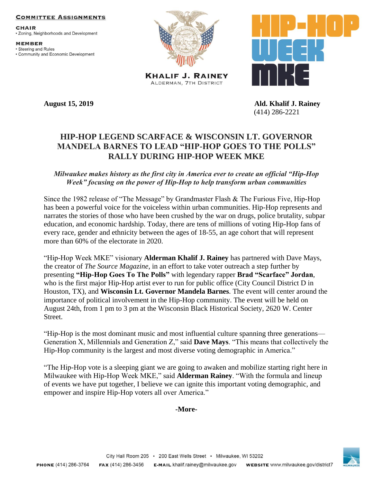#### **COMMITTEE ASSIGNMENTS**

**CHAIR** • Zoning, Neighborhoods and Development

**MEMBER** · Steering and Rules • Community and Economic Development



**KHALIF J. RAINEY** ALDERMAN, 7TH DISTRICT





**August 15, 2019 Ald. Khalif J. Rainey** (414) 286-2221

# **HIP-HOP LEGEND SCARFACE & WISCONSIN LT. GOVERNOR MANDELA BARNES TO LEAD "HIP-HOP GOES TO THE POLLS" RALLY DURING HIP-HOP WEEK MKE**

## *Milwaukee makes history as the first city in America ever to create an official "Hip-Hop Week" focusing on the power of Hip-Hop to help transform urban communities*

Since the 1982 release of "The Message" by Grandmaster Flash & The Furious Five, Hip-Hop has been a powerful voice for the voiceless within urban communities. Hip-Hop represents and narrates the stories of those who have been crushed by the war on drugs, police brutality, subpar education, and economic hardship. Today, there are tens of millions of voting Hip-Hop fans of every race, gender and ethnicity between the ages of 18-55, an age cohort that will represent more than 60% of the electorate in 2020.

"Hip-Hop Week MKE" visionary **Alderman Khalif J. Rainey** has partnered with Dave Mays, the creator of *The Source Magazine*, in an effort to take voter outreach a step further by presenting **"Hip-Hop Goes To The Polls"** with legendary rapper **Brad "Scarface" Jordan**, who is the first major Hip-Hop artist ever to run for public office (City Council District D in Houston, TX), and **Wisconsin Lt. Governor Mandela Barnes**. The event will center around the importance of political involvement in the Hip-Hop community. The event will be held on August 24th, from 1 pm to 3 pm at the Wisconsin Black Historical Society, 2620 W. Center Street.

"Hip-Hop is the most dominant music and most influential culture spanning three generations— Generation X, Millennials and Generation Z," said **Dave Mays**. "This means that collectively the Hip-Hop community is the largest and most diverse voting demographic in America."

"The Hip-Hop vote is a sleeping giant we are going to awaken and mobilize starting right here in Milwaukee with Hip-Hop Week MKE," said **Alderman Rainey**. "With the formula and lineup of events we have put together, I believe we can ignite this important voting demographic, and empower and inspire Hip-Hop voters all over America."

### **-More-**